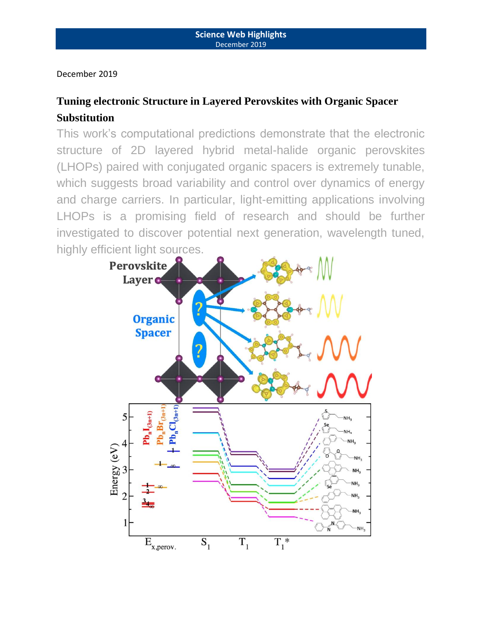December 2019

# **Tuning electronic Structure in Layered Perovskites with Organic Spacer Substitution**

This work's computational predictions demonstrate that the electronic structure of 2D layered hybrid metal-halide organic perovskites (LHOPs) paired with conjugated organic spacers is extremely tunable, which suggests broad variability and control over dynamics of energy and charge carriers. In particular, light-emitting applications involving LHOPs is a promising field of research and should be further investigated to discover potential next generation, wavelength tuned, highly efficient light sources.

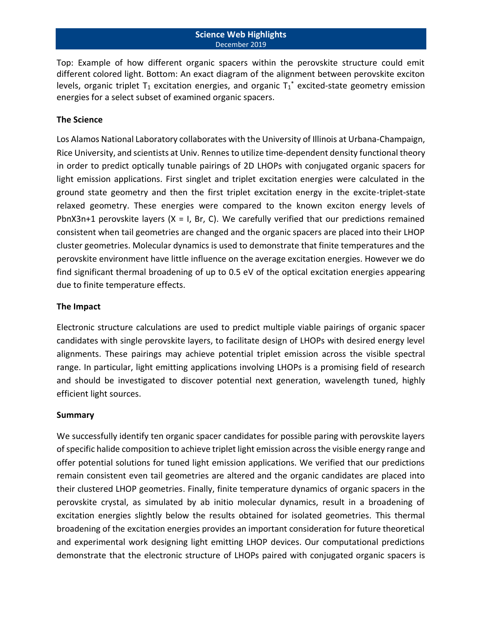## **Science Web Highlights** December 2019

Top: Example of how different organic spacers within the perovskite structure could emit different colored light. Bottom: An exact diagram of the alignment between perovskite exciton levels, organic triplet T<sub>1</sub> excitation energies, and organic  $T_1^*$  excited-state geometry emission energies for a select subset of examined organic spacers.

## **The Science**

Los Alamos National Laboratory collaborates with the University of Illinois at Urbana-Champaign, Rice University, and scientists at Univ. Rennes to utilize time-dependent density functional theory in order to predict optically tunable pairings of 2D LHOPs with conjugated organic spacers for light emission applications. First singlet and triplet excitation energies were calculated in the ground state geometry and then the first triplet excitation energy in the excite-triplet-state relaxed geometry. These energies were compared to the known exciton energy levels of PbnX3n+1 perovskite layers  $(X = I, Br, C)$ . We carefully verified that our predictions remained consistent when tail geometries are changed and the organic spacers are placed into their LHOP cluster geometries. Molecular dynamics is used to demonstrate that finite temperatures and the perovskite environment have little influence on the average excitation energies. However we do find significant thermal broadening of up to 0.5 eV of the optical excitation energies appearing due to finite temperature effects.

## **The Impact**

Electronic structure calculations are used to predict multiple viable pairings of organic spacer candidates with single perovskite layers, to facilitate design of LHOPs with desired energy level alignments. These pairings may achieve potential triplet emission across the visible spectral range. In particular, light emitting applications involving LHOPs is a promising field of research and should be investigated to discover potential next generation, wavelength tuned, highly efficient light sources.

## **Summary**

We successfully identify ten organic spacer candidates for possible paring with perovskite layers of specific halide composition to achieve triplet light emission across the visible energy range and offer potential solutions for tuned light emission applications. We verified that our predictions remain consistent even tail geometries are altered and the organic candidates are placed into their clustered LHOP geometries. Finally, finite temperature dynamics of organic spacers in the perovskite crystal, as simulated by ab initio molecular dynamics, result in a broadening of excitation energies slightly below the results obtained for isolated geometries. This thermal broadening of the excitation energies provides an important consideration for future theoretical and experimental work designing light emitting LHOP devices. Our computational predictions demonstrate that the electronic structure of LHOPs paired with conjugated organic spacers is